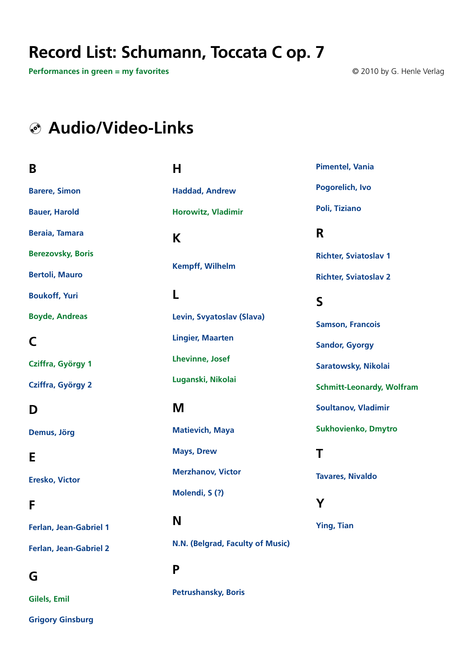## **Record List: Schumann, Toccata C op. 7**

**H**

**Performances in green = my favorites** © 2010 by G. Henle Verlag

## **Audio/Video-Links**

#### **B**

**[Barere, Simon](http://www.youtube.com/watch?v=2gCHDms_Ero&feature=related) [Bauer, Harold](http://www.youtube.com/watch?v=dFeCr--GSSo&feature=related)**

**[Beraia, Tamara](http://www.youtube.com/watch?v=7bPnOj3m4jU)**

**[Berezovsky, Boris](http://www.youtube.com/watch?v=nWLyjw-eGFM)** 

**[Bertoli, Mauro](http://www.youtube.com/watch?v=mYWPhVizpZ8)**

**[Boukoff, Yuri](http://www.youtube.com/watch?v=Epa75KYWJrY)** 

**[Boyde, Andreas](http://www.youtube.com/watch?v=bMfPt7ZoCGI)**

#### **C**

**[Cziffra, György 1](http://www.youtube.com/watch?v=NncHj0BKCps)**

**[Cziffra, György 2](http://www.youtube.com/watch?v=GxOdDSRkppg&feature=related)**

#### **D**

**[Demus, Jörg](http://www.youtube.com/watch?v=bhXw5xUkJQY )**

## **E**

**[Eresko, Victor](http://www.youtube.com/watch?v=uwGEO8Q8_eM)** 

#### **F**

**[Ferlan, Jean-Gabriel 1](http://www.youtube.com/watch?v=Yqhmk92ZT3I&feature=related )**

**[Ferlan, Jean-Gabriel 2](http://www.youtube.com/watch?v=5qoP3ogcprs )**

### **G**

**[Gilels, Emil](http://www.youtube.com/watch?v=ooOzYkr3h9s&feature=related)**

**[Grigory Ginsburg](http://www.youtube.com/watch?v=1W5JmCVdRM8&feature=related)**

# **[Haddad, Andrew](http://www.youtube.com/watch?v=A3XE0UZbIMc&feature=related)  [Horowitz, Vladimir](http://www.youtube.com/watch?v=XC1FJufFFXU&feature=related
) K [Kempff, Wilhelm](https://www.youtube.com/watch?feature=player_embedded&x-yt-ts=1421914688&v=imWHHFicu5o&x-yt-cl=84503534) L [Levin, Svyatoslav \(Slava\)](http://www.youtube.com/watch?v=OL0mh55sVeE&feature=related ) [Lingier, Maarten](http://www.youtube.com/watch?v=wdpz7I4O9lw&feature=related)  [Lhevinne, Josef](http://www.youtube.com/watch?v=5mPrYeN-l4s&feature=related ) [Luganski, Nikolai](http://www.youtube.com/watch?v=M6PHSx1xr1c)**

**[Matievich, Maya](http://www.youtube.com/watch?v=qB0mpg62X0M) [Mays, Drew](http://www.youtube.com/watch?v=3qgzyvi-I50) [Merzhanov, Victor](http://www.youtube.com/watch?v=JdAY_BIUD9w) [Molendi, S \(?\)](http://www.youtube.com/watch?v=FdUvYjmf3Hw)**

## **N**

**M**

**[N.N. \(Belgrad, Faculty of Music\)](http://www.youtube.com/watch?v=WZZQBdfZlqw)**

## **P [Petrushansky, Boris](http://www.youtube.com/watch?v=hPP2C2c2KyU )**

**[Pimentel, Vania](http://www.youtube.com/watch?v=0bC6OhU-iNs)** 

**[Pogorelich, Ivo](http://www.youtube.com/watch?v=X9PywE6qH84 )**

**[Poli, Tiziano](http://www.youtube.com/watch?v=Z9GoxnoL29k&feature=related)**

### **R**

**[Richter, Sviatoslav 1](http://www.youtube.com/watch?v=bNZerbc-9Kk&feature=related )  [Richter, Sviatoslav 2](http://www.youtube.com/watch?v=1WCeZpjvSiQ&feature=related )**

#### **S**

**[Samson, Francois](http://www.youtube.com/watch?v=Na01Wtk3AJw ) [Sandor, Gyorgy](http://www.youtube.com/watch?v=5qoP3ogcprs )** 

**[Saratowsky, Nikolai](http://www.youtube.com/watch?v=R2hA0cTQ2YQ )**

**[Schmitt-Leonardy, Wolfram](http://www.youtube.com/watch?v=sGb5yrTI9Ys )** 

**[Soultanov, Vladimir](http://www.youtube.com/watch?v=i17V-6d48Tc)**

**[Sukhovienko, Dmytro](http://www.youtube.com/watch?v=3nB0Q2l25oI )**

## **T**

**[Tavares, Nivaldo](http://www.youtube.com/watch?v=qj60O6Jw4Es&feature=related)**

### **Y**

**[Ying, Tian](http://www.youtube.com/watch?v=gu18cWscOmo )**